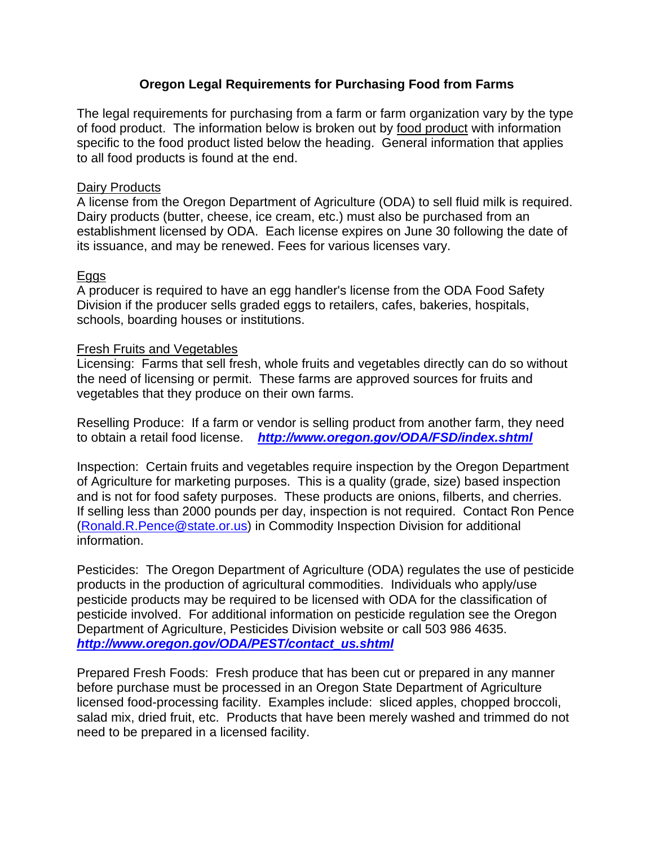## **Oregon Legal Requirements for Purchasing Food from Farms**

The legal requirements for purchasing from a farm or farm organization vary by the type of food product. The information below is broken out by food product with information specific to the food product listed below the heading. General information that applies to all food products is found at the end.

### Dairy Products

A license from the Oregon Department of Agriculture (ODA) to sell fluid milk is required. Dairy products (butter, cheese, ice cream, etc.) must also be purchased from an establishment licensed by ODA. Each license expires on June 30 following the date of its issuance, and may be renewed. Fees for various licenses vary.

### Eggs

A producer is required to have an egg handler's license from the ODA Food Safety Division if the producer sells graded eggs to retailers, cafes, bakeries, hospitals, schools, boarding houses or institutions.

#### Fresh Fruits and Vegetables

Licensing: Farms that sell fresh, whole fruits and vegetables directly can do so without the need of licensing or permit. These farms are approved sources for fruits and vegetables that they produce on their own farms.

Reselling Produce: If a farm or vendor is selling product from another farm, they need to obtain a retail food license. *http://www.oregon.gov/ODA/FSD/index.shtml*

Inspection: Certain fruits and vegetables require inspection by the Oregon Department of Agriculture for marketing purposes. This is a quality (grade, size) based inspection and is not for food safety purposes. These products are onions, filberts, and cherries. If selling less than 2000 pounds per day, inspection is not required. Contact Ron Pence (Ronald.R.Pence@state.or.us) in Commodity Inspection Division for additional information.

Pesticides: The Oregon Department of Agriculture (ODA) regulates the use of pesticide products in the production of agricultural commodities. Individuals who apply/use pesticide products may be required to be licensed with ODA for the classification of pesticide involved. For additional information on pesticide regulation see the Oregon Department of Agriculture, Pesticides Division website or call 503 986 4635. *http://www.oregon.gov/ODA/PEST/contact\_us.shtml*

Prepared Fresh Foods: Fresh produce that has been cut or prepared in any manner before purchase must be processed in an Oregon State Department of Agriculture licensed food-processing facility. Examples include: sliced apples, chopped broccoli, salad mix, dried fruit, etc. Products that have been merely washed and trimmed do not need to be prepared in a licensed facility.